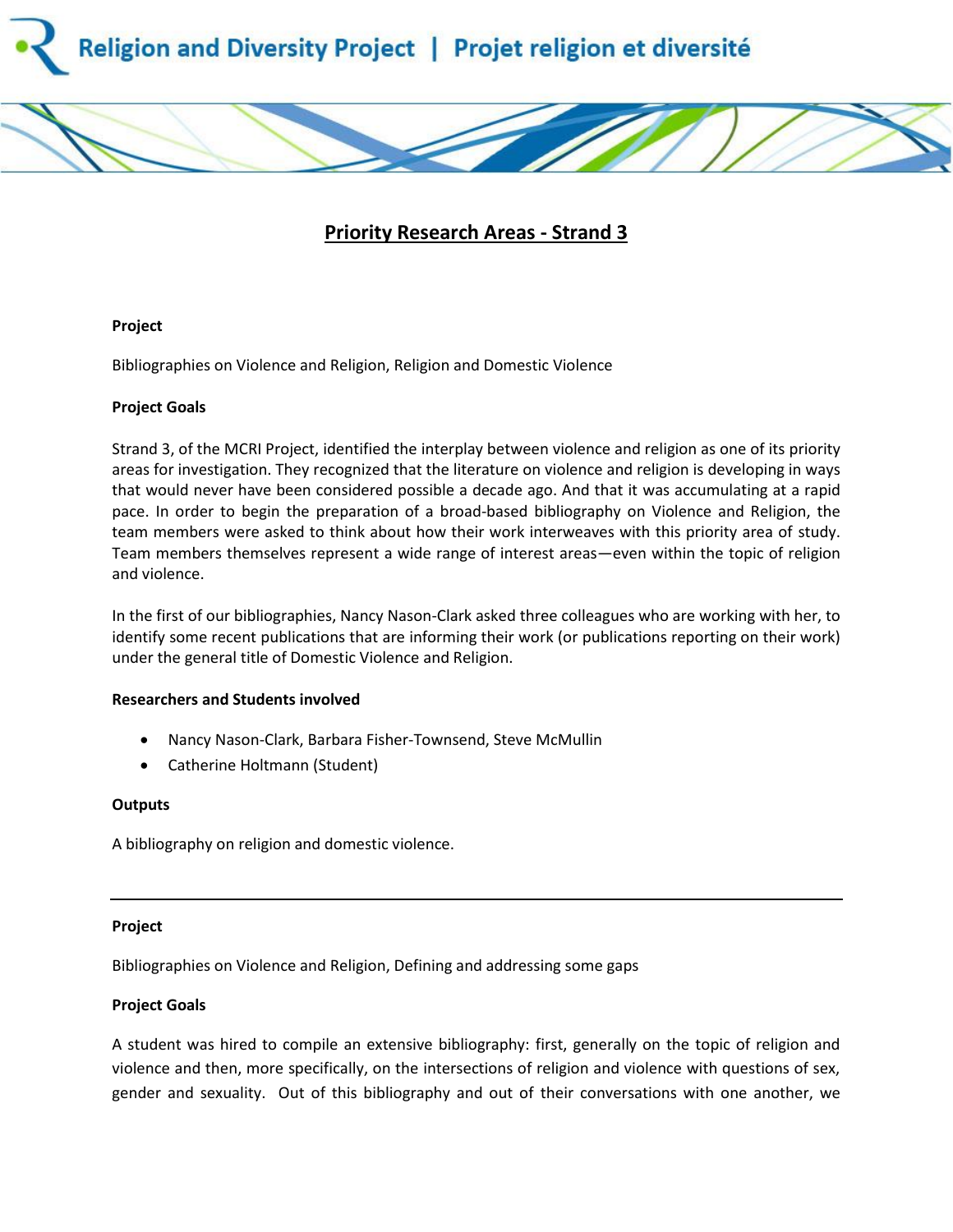

# **Priority Research Areas - Strand 3**

### **Project**

Bibliographies on Violence and Religion, Religion and Domestic Violence

### **Project Goals**

Strand 3, of the MCRI Project, identified the interplay between violence and religion as one of its priority areas for investigation. They recognized that the literature on violence and religion is developing in ways that would never have been considered possible a decade ago. And that it was accumulating at a rapid pace. In order to begin the preparation of a broad-based bibliography on Violence and Religion, the team members were asked to think about how their work interweaves with this priority area of study. Team members themselves represent a wide range of interest areas—even within the topic of religion and violence.

In the first of our bibliographies, Nancy Nason-Clark asked three colleagues who are working with her, to identify some recent publications that are informing their work (or publications reporting on their work) under the general title of Domestic Violence and Religion.

### **Researchers and Students involved**

- Nancy Nason-Clark, Barbara Fisher-Townsend, Steve McMullin
- Catherine Holtmann (Student)

### **Outputs**

A bibliography on religion and domestic violence.

### **Project**

Bibliographies on Violence and Religion, Defining and addressing some gaps

## **Project Goals**

A student was hired to compile an extensive bibliography: first, generally on the topic of religion and violence and then, more specifically, on the intersections of religion and violence with questions of sex, gender and sexuality. Out of this bibliography and out of their conversations with one another, we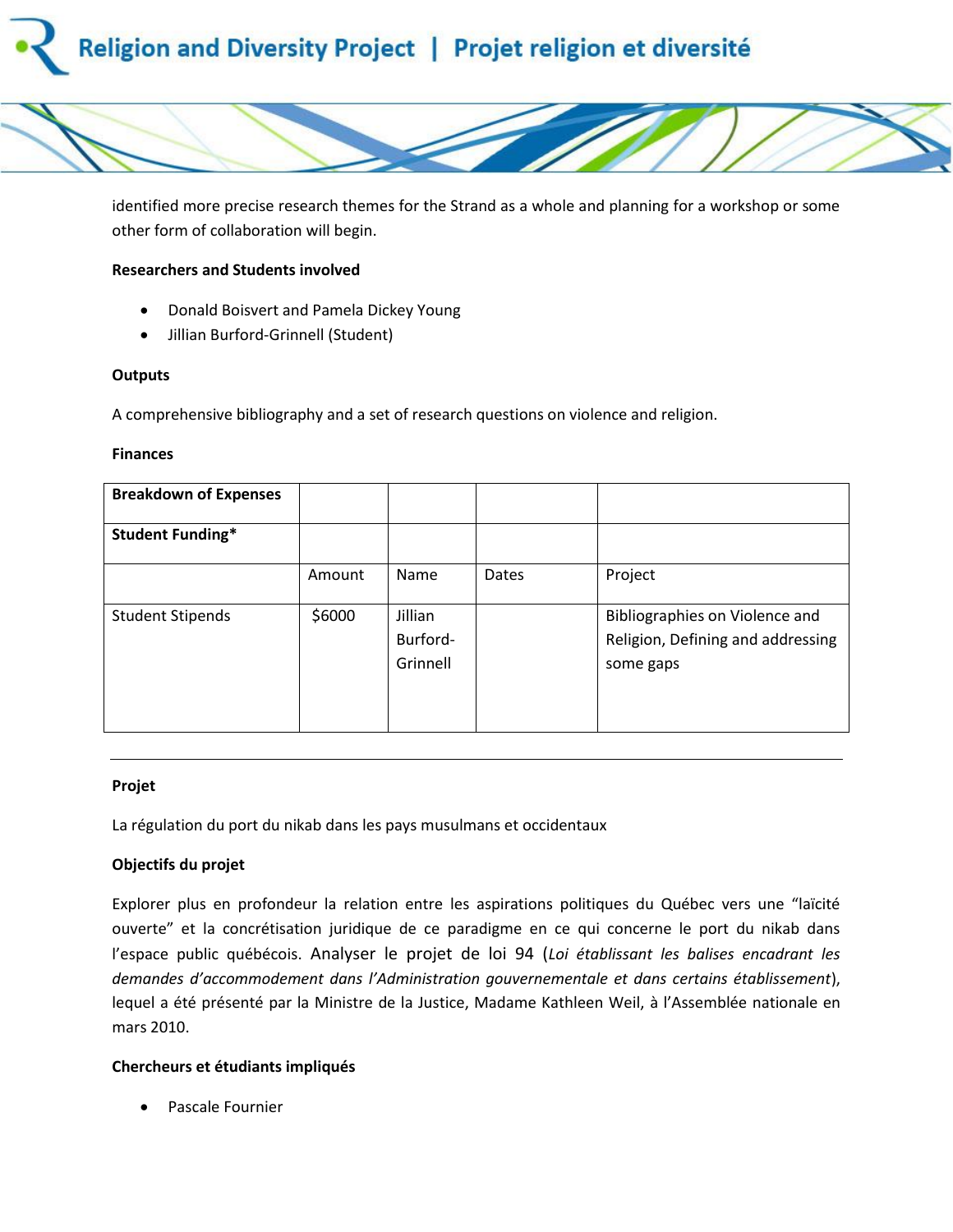# Religion and Diversity Project | Projet religion et diversité



identified more precise research themes for the Strand as a whole and planning for a workshop or some other form of collaboration will begin.

### **Researchers and Students involved**

- Donald Boisvert and Pamela Dickey Young
- Jillian Burford-Grinnell (Student)

### **Outputs**

A comprehensive bibliography and a set of research questions on violence and religion.

### **Finances**

| <b>Breakdown of Expenses</b> |        |                                 |       |                                                                                  |
|------------------------------|--------|---------------------------------|-------|----------------------------------------------------------------------------------|
| <b>Student Funding*</b>      |        |                                 |       |                                                                                  |
|                              | Amount | Name                            | Dates | Project                                                                          |
| <b>Student Stipends</b>      | \$6000 | Jillian<br>Burford-<br>Grinnell |       | Bibliographies on Violence and<br>Religion, Defining and addressing<br>some gaps |

## **Projet**

La régulation du port du nikab dans les pays musulmans et occidentaux

## **Objectifs du projet**

Explorer plus en profondeur la relation entre les aspirations politiques du Québec vers une "laïcité ouverte" et la concrétisation juridique de ce paradigme en ce qui concerne le port du nikab dans l'espace public québécois. Analyser le projet de loi 94 (*Loi établissant les balises encadrant les demandes d'accommodement dans l'Administration gouvernementale et dans certains établissement*), lequel a été présenté par la Ministre de la Justice, Madame Kathleen Weil, à l'Assemblée nationale en mars 2010.

## **Chercheurs et étudiants impliqués**

Pascale Fournier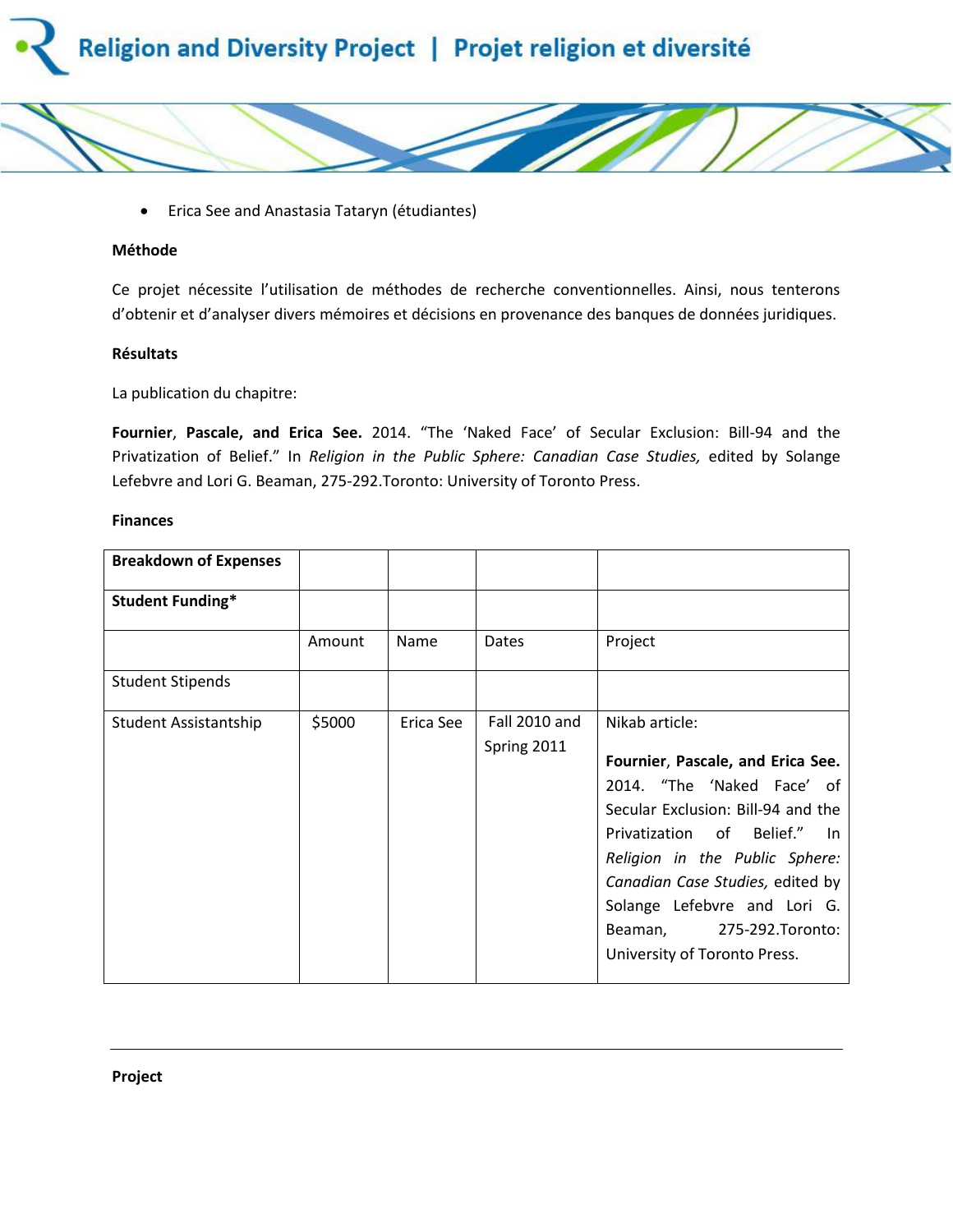



### **Méthode**

Ce projet nécessite l'utilisation de méthodes de recherche conventionnelles. Ainsi, nous tenterons d'obtenir et d'analyser divers mémoires et décisions en provenance des banques de données juridiques.

### **Résultats**

La publication du chapitre:

**Fournier**, **Pascale, and Erica See.** 2014. "The 'Naked Face' of Secular Exclusion: Bill-94 and the Privatization of Belief." In *Religion in the Public Sphere: Canadian Case Studies,* edited by Solange Lefebvre and Lori G. Beaman, 275-292.Toronto: University of Toronto Press.

#### **Finances**

| <b>Breakdown of Expenses</b> |        |           |                              |                                                                                                                                                                                                                                                                                                                            |
|------------------------------|--------|-----------|------------------------------|----------------------------------------------------------------------------------------------------------------------------------------------------------------------------------------------------------------------------------------------------------------------------------------------------------------------------|
| <b>Student Funding*</b>      |        |           |                              |                                                                                                                                                                                                                                                                                                                            |
|                              | Amount | Name      | Dates                        | Project                                                                                                                                                                                                                                                                                                                    |
| <b>Student Stipends</b>      |        |           |                              |                                                                                                                                                                                                                                                                                                                            |
| Student Assistantship        | \$5000 | Erica See | Fall 2010 and<br>Spring 2011 | Nikab article:<br>Fournier, Pascale, and Erica See.<br>2014. "The 'Naked Face' of<br>Secular Exclusion: Bill-94 and the<br>Privatization of Belief." In<br>Religion in the Public Sphere:<br>Canadian Case Studies, edited by<br>Solange Lefebvre and Lori G.<br>Beaman, 275-292. Toronto:<br>University of Toronto Press. |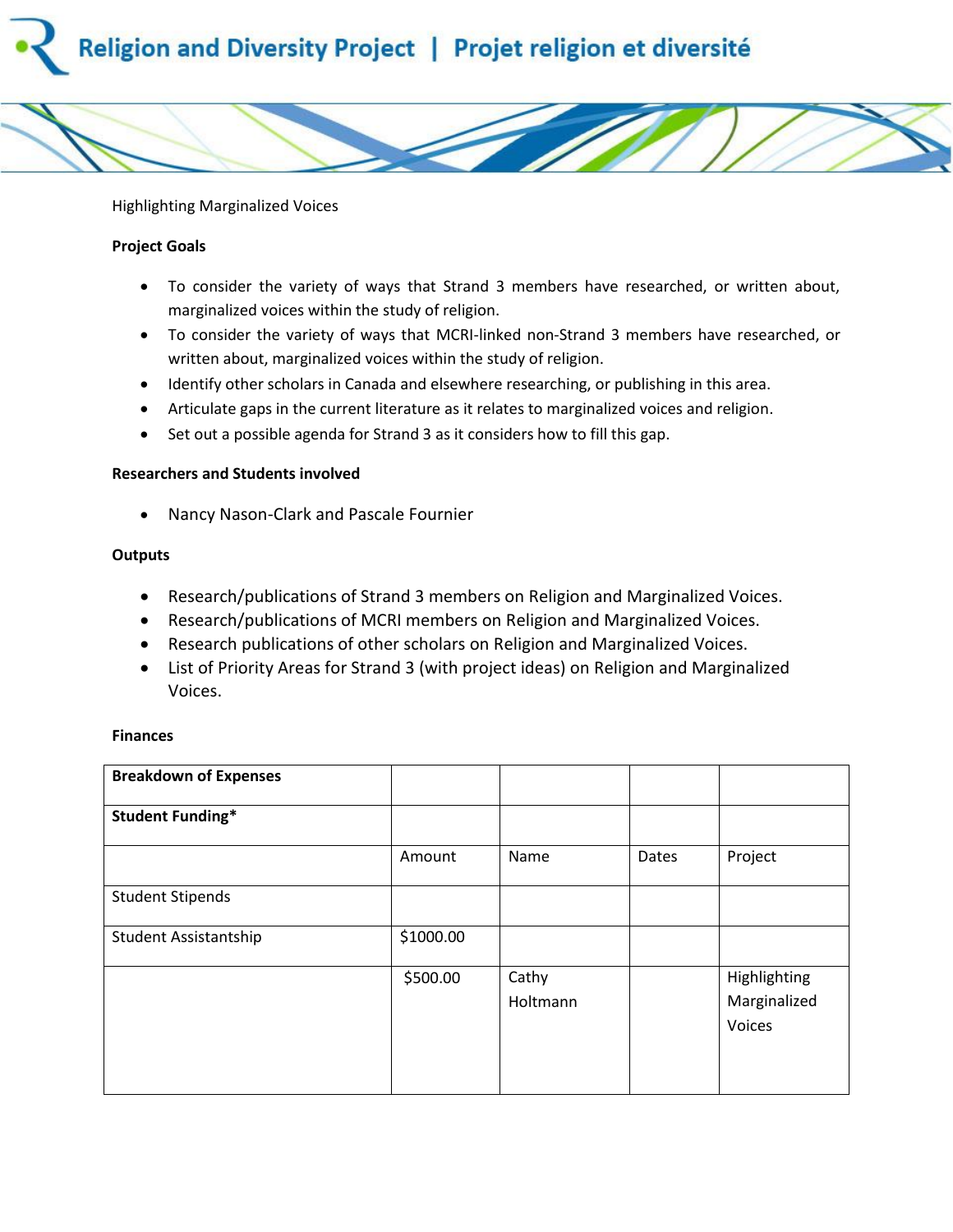# Religion and Diversity Project | Projet religion et diversité



Highlighting Marginalized Voices

### **Project Goals**

- To consider the variety of ways that Strand 3 members have researched, or written about, marginalized voices within the study of religion.
- To consider the variety of ways that MCRI-linked non-Strand 3 members have researched, or written about, marginalized voices within the study of religion.
- Identify other scholars in Canada and elsewhere researching, or publishing in this area.
- Articulate gaps in the current literature as it relates to marginalized voices and religion.
- Set out a possible agenda for Strand 3 as it considers how to fill this gap.

### **Researchers and Students involved**

Nancy Nason-Clark and Pascale Fournier

### **Outputs**

- Research/publications of Strand 3 members on Religion and Marginalized Voices.
- Research/publications of MCRI members on Religion and Marginalized Voices.
- Research publications of other scholars on Religion and Marginalized Voices.
- List of Priority Areas for Strand 3 (with project ideas) on Religion and Marginalized Voices.

### **Finances**

| <b>Breakdown of Expenses</b> |           |                   |       |                                        |
|------------------------------|-----------|-------------------|-------|----------------------------------------|
| <b>Student Funding*</b>      |           |                   |       |                                        |
|                              | Amount    | Name              | Dates | Project                                |
| <b>Student Stipends</b>      |           |                   |       |                                        |
| Student Assistantship        | \$1000.00 |                   |       |                                        |
|                              | \$500.00  | Cathy<br>Holtmann |       | Highlighting<br>Marginalized<br>Voices |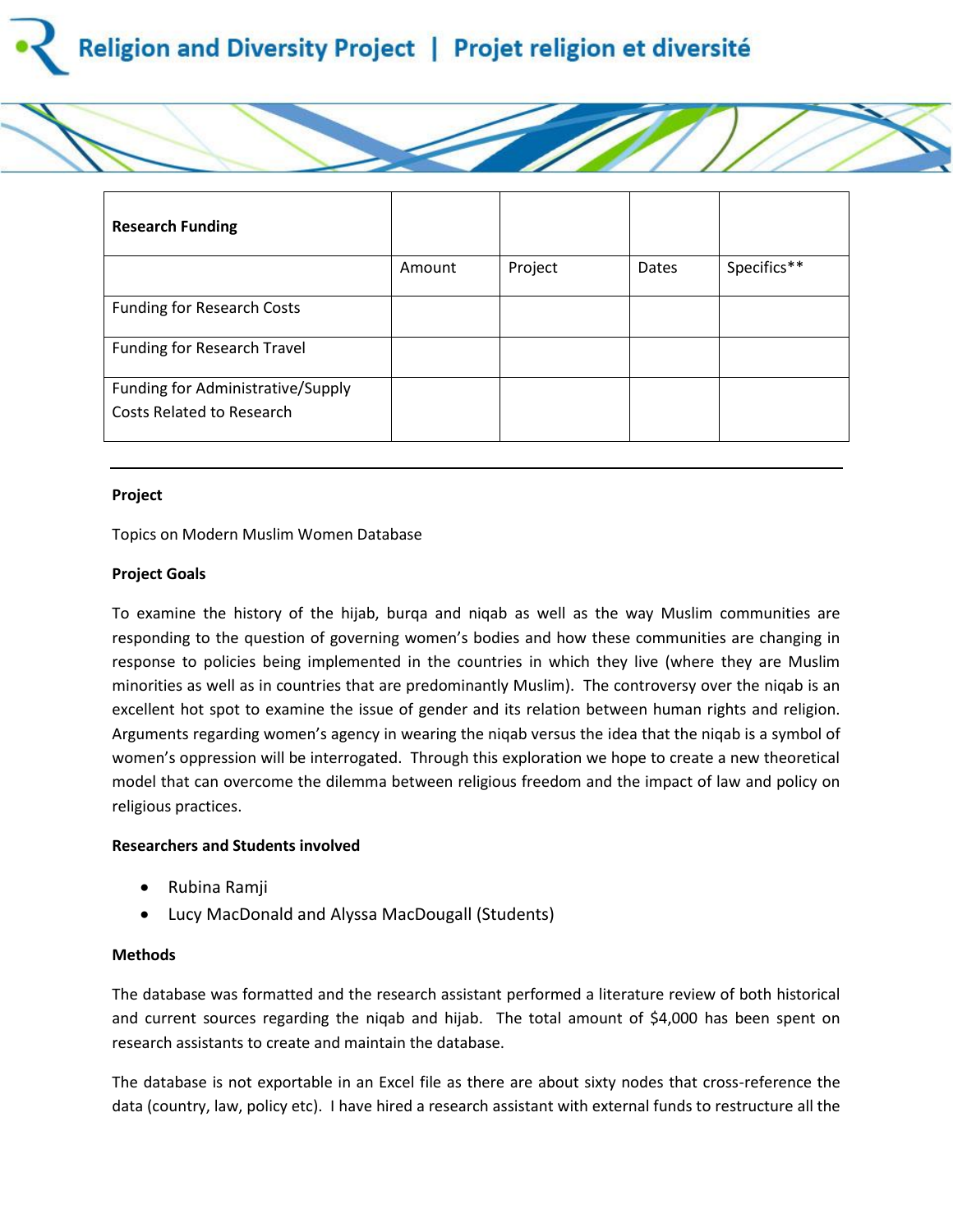



### **Project**

Topics on Modern Muslim Women Database

### **Project Goals**

To examine the history of the hijab, burqa and niqab as well as the way Muslim communities are responding to the question of governing women's bodies and how these communities are changing in response to policies being implemented in the countries in which they live (where they are Muslim minorities as well as in countries that are predominantly Muslim). The controversy over the niqab is an excellent hot spot to examine the issue of gender and its relation between human rights and religion. Arguments regarding women's agency in wearing the niqab versus the idea that the niqab is a symbol of women's oppression will be interrogated. Through this exploration we hope to create a new theoretical model that can overcome the dilemma between religious freedom and the impact of law and policy on religious practices.

## **Researchers and Students involved**

- Rubina Ramji
- Lucy MacDonald and Alyssa MacDougall (Students)

### **Methods**

The database was formatted and the research assistant performed a literature review of both historical and current sources regarding the niqab and hijab. The total amount of \$4,000 has been spent on research assistants to create and maintain the database.

The database is not exportable in an Excel file as there are about sixty nodes that cross-reference the data (country, law, policy etc). I have hired a research assistant with external funds to restructure all the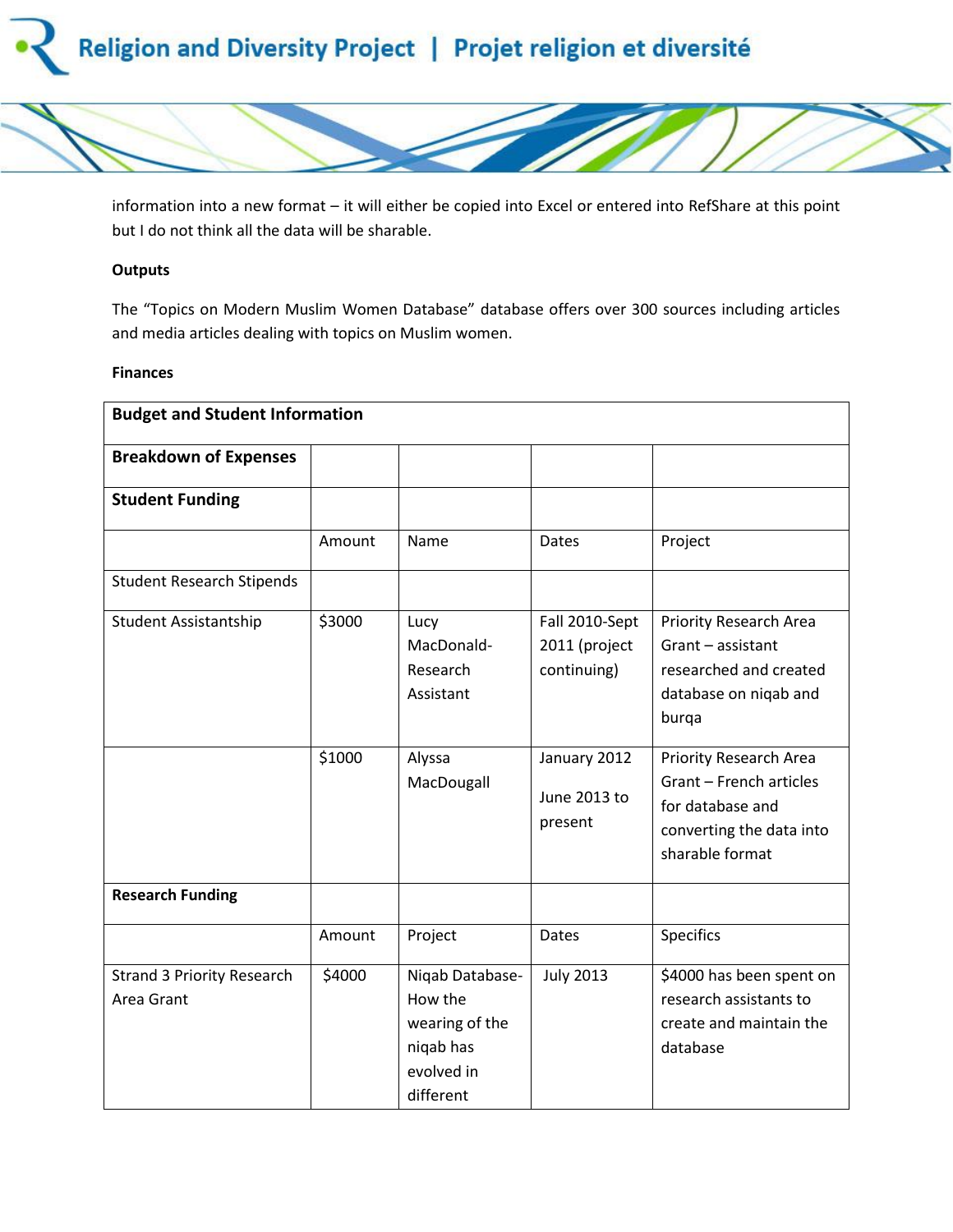



information into a new format – it will either be copied into Excel or entered into RefShare at this point but I do not think all the data will be sharable.

### **Outputs**

The "Topics on Modern Muslim Women Database" database offers over 300 sources including articles and media articles dealing with topics on Muslim women.

### **Finances**

| <b>Budget and Student Information</b>           |        |                                                                                      |                                                |                                                                                                                      |  |  |  |
|-------------------------------------------------|--------|--------------------------------------------------------------------------------------|------------------------------------------------|----------------------------------------------------------------------------------------------------------------------|--|--|--|
| <b>Breakdown of Expenses</b>                    |        |                                                                                      |                                                |                                                                                                                      |  |  |  |
| <b>Student Funding</b>                          |        |                                                                                      |                                                |                                                                                                                      |  |  |  |
|                                                 | Amount | Name                                                                                 | <b>Dates</b>                                   | Project                                                                                                              |  |  |  |
| <b>Student Research Stipends</b>                |        |                                                                                      |                                                |                                                                                                                      |  |  |  |
| <b>Student Assistantship</b>                    | \$3000 | Lucy<br>MacDonald-<br>Research<br>Assistant                                          | Fall 2010-Sept<br>2011 (project<br>continuing) | <b>Priority Research Area</b><br>Grant - assistant<br>researched and created<br>database on niqab and<br>burqa       |  |  |  |
|                                                 | \$1000 | Alyssa<br>MacDougall                                                                 | January 2012<br>June 2013 to<br>present        | Priority Research Area<br>Grant - French articles<br>for database and<br>converting the data into<br>sharable format |  |  |  |
| <b>Research Funding</b>                         |        |                                                                                      |                                                |                                                                                                                      |  |  |  |
|                                                 | Amount | Project                                                                              | Dates                                          | <b>Specifics</b>                                                                                                     |  |  |  |
| <b>Strand 3 Priority Research</b><br>Area Grant | \$4000 | Niqab Database-<br>How the<br>wearing of the<br>niqab has<br>evolved in<br>different | <b>July 2013</b>                               | \$4000 has been spent on<br>research assistants to<br>create and maintain the<br>database                            |  |  |  |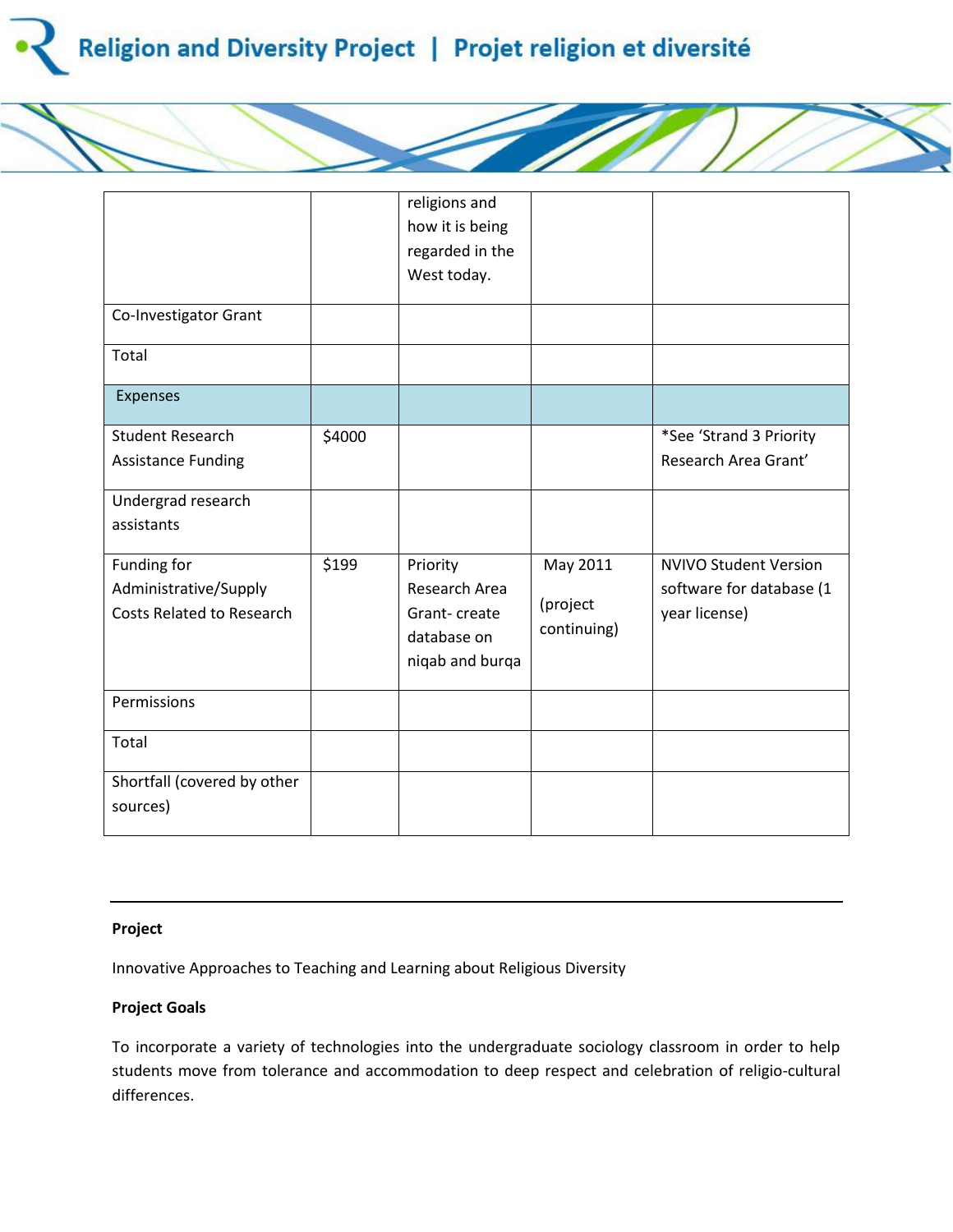

|                                  |        | religions and   |             |                              |
|----------------------------------|--------|-----------------|-------------|------------------------------|
|                                  |        | how it is being |             |                              |
|                                  |        | regarded in the |             |                              |
|                                  |        | West today.     |             |                              |
| Co-Investigator Grant            |        |                 |             |                              |
| Total                            |        |                 |             |                              |
| <b>Expenses</b>                  |        |                 |             |                              |
| <b>Student Research</b>          | \$4000 |                 |             | *See 'Strand 3 Priority      |
| <b>Assistance Funding</b>        |        |                 |             | Research Area Grant'         |
| Undergrad research               |        |                 |             |                              |
| assistants                       |        |                 |             |                              |
| Funding for                      | \$199  | Priority        | May 2011    | <b>NVIVO Student Version</b> |
| Administrative/Supply            |        | Research Area   |             | software for database (1     |
| <b>Costs Related to Research</b> |        | Grant-create    | (project    | year license)                |
|                                  |        | database on     | continuing) |                              |
|                                  |        | niqab and burqa |             |                              |
| Permissions                      |        |                 |             |                              |
| Total                            |        |                 |             |                              |
| Shortfall (covered by other      |        |                 |             |                              |
| sources)                         |        |                 |             |                              |

## **Project**

Innovative Approaches to Teaching and Learning about Religious Diversity

# **Project Goals**

To incorporate a variety of technologies into the undergraduate sociology classroom in order to help students move from tolerance and accommodation to deep respect and celebration of religio-cultural differences.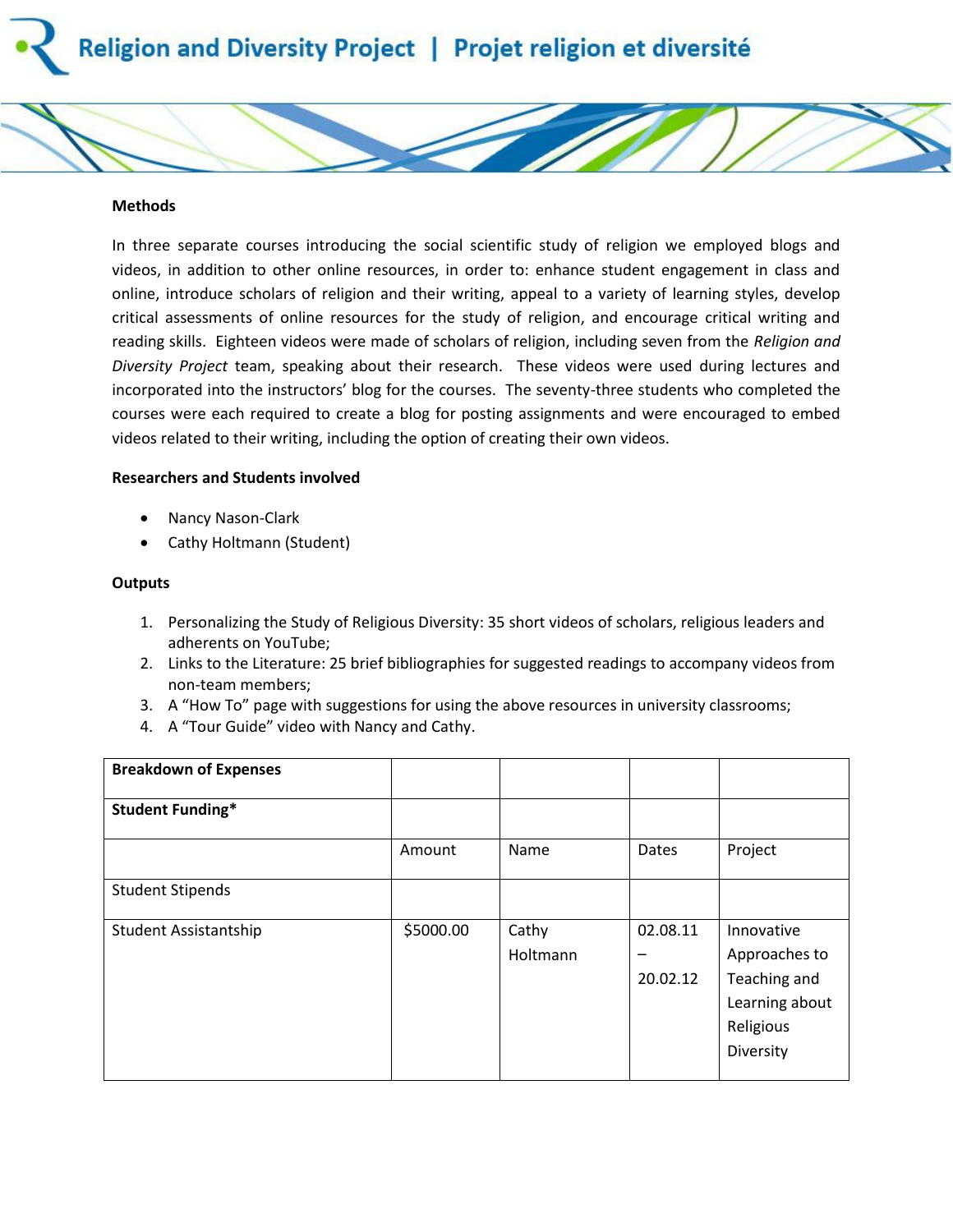



In three separate courses introducing the social scientific study of religion we employed blogs and videos, in addition to other online resources, in order to: enhance student engagement in class and online, introduce scholars of religion and their writing, appeal to a variety of learning styles, develop critical assessments of online resources for the study of religion, and encourage critical writing and reading skills. Eighteen videos were made of scholars of religion, including seven from the *Religion and Diversity Project* team, speaking about their research. These videos were used during lectures and incorporated into the instructors' blog for the courses. The seventy-three students who completed the courses were each required to create a blog for posting assignments and were encouraged to embed videos related to their writing, including the option of creating their own videos.

### **Researchers and Students involved**

- Nancy Nason-Clark
- Cathy Holtmann (Student)

### **Outputs**

- 1. Personalizing the Study of Religious Diversity: 35 short videos of scholars, religious leaders and adherents on YouTube;
- 2. Links to the Literature: 25 brief bibliographies for suggested readings to accompany videos from non-team members;
- 3. A "How To" page with suggestions for using the above resources in university classrooms;
- 4. A "Tour Guide" video with Nancy and Cathy.

| <b>Breakdown of Expenses</b> |           |                   |                      |                                                                                         |
|------------------------------|-----------|-------------------|----------------------|-----------------------------------------------------------------------------------------|
| <b>Student Funding*</b>      |           |                   |                      |                                                                                         |
|                              | Amount    | Name              | Dates                | Project                                                                                 |
| <b>Student Stipends</b>      |           |                   |                      |                                                                                         |
| Student Assistantship        | \$5000.00 | Cathy<br>Holtmann | 02.08.11<br>20.02.12 | Innovative<br>Approaches to<br>Teaching and<br>Learning about<br>Religious<br>Diversity |